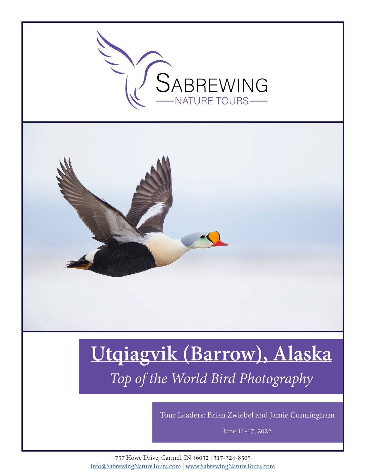

Tour Leaders: Brian Zwiebel and Jamie Cunningham

June 11-17, 2022

757 Howe Drive, Carmel, IN 46032 | 317-324-8505 info@SabrewingNatureTours.com | www.SabrewingNatureTours.com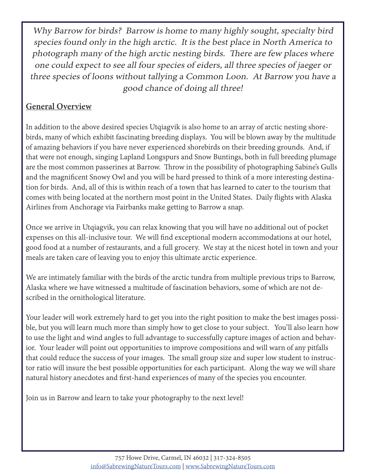Why Barrow for birds? Barrow is home to many highly sought, specialty bird species found only in the high arctic. It is the best place in North America to photograph many of the high arctic nesting birds. There are few places where one could expect to see all four species of eiders, all three species of jaeger or three species of loons without tallying a Common Loon. At Barrow you have a good chance of doing all three!

### **General Overview**

In addition to the above desired species Utqiagvik is also home to an array of arctic nesting shorebirds, many of which exhibit fascinating breeding displays. You will be blown away by the multitude of amazing behaviors if you have never experienced shorebirds on their breeding grounds. And, if that were not enough, singing Lapland Longspurs and Snow Buntings, both in full breeding plumage are the most common passerines at Barrow. Throw in the possibility of photographing Sabine's Gulls and the magnificent Snowy Owl and you will be hard pressed to think of a more interesting destination for birds. And, all of this is within reach of a town that has learned to cater to the tourism that comes with being located at the northern most point in the United States. Daily flights with Alaska Airlines from Anchorage via Fairbanks make getting to Barrow a snap.

Once we arrive in Utqiagvik, you can relax knowing that you will have no additional out of pocket expenses on this all-inclusive tour. We will find exceptional modern accommodations at our hotel, good food at a number of restaurants, and a full grocery. We stay at the nicest hotel in town and your meals are taken care of leaving you to enjoy this ultimate arctic experience.

We are intimately familiar with the birds of the arctic tundra from multiple previous trips to Barrow, Alaska where we have witnessed a multitude of fascination behaviors, some of which are not described in the ornithological literature.

Your leader will work extremely hard to get you into the right position to make the best images possible, but you will learn much more than simply how to get close to your subject. You'll also learn how to use the light and wind angles to full advantage to successfully capture images of action and behavior. Your leader will point out opportunities to improve compositions and will warn of any pitfalls that could reduce the success of your images. The small group size and super low student to instructor ratio will insure the best possible opportunities for each participant. Along the way we will share natural history anecdotes and first-hand experiences of many of the species you encounter.

Join us in Barrow and learn to take your photography to the next level!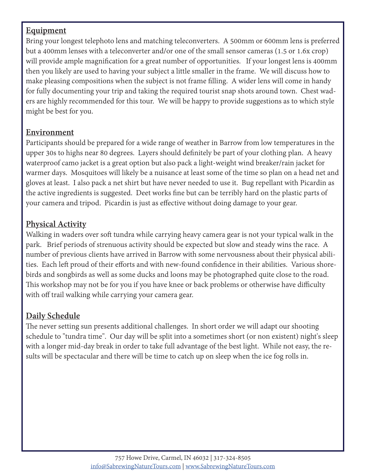### **Equipment**

Bring your longest telephoto lens and matching teleconverters. A 500mm or 600mm lens is preferred but a 400mm lenses with a teleconverter and/or one of the small sensor cameras (1.5 or 1.6x crop) will provide ample magnification for a great number of opportunities. If your longest lens is 400mm then you likely are used to having your subject a little smaller in the frame. We will discuss how to make pleasing compositions when the subject is not frame filling. A wider lens will come in handy for fully documenting your trip and taking the required tourist snap shots around town. Chest waders are highly recommended for this tour. We will be happy to provide suggestions as to which style might be best for you.

### **Environment**

Participants should be prepared for a wide range of weather in Barrow from low temperatures in the upper 30s to highs near 80 degrees. Layers should definitely be part of your clothing plan. A heavy waterproof camo jacket is a great option but also pack a light-weight wind breaker/rain jacket for warmer days. Mosquitoes will likely be a nuisance at least some of the time so plan on a head net and gloves at least. I also pack a net shirt but have never needed to use it. Bug repellant with Picardin as the active ingredients is suggested. Deet works fine but can be terribly hard on the plastic parts of your camera and tripod. Picardin is just as effective without doing damage to your gear.

## **Physical Activity**

Walking in waders over soft tundra while carrying heavy camera gear is not your typical walk in the park. Brief periods of strenuous activity should be expected but slow and steady wins the race. A number of previous clients have arrived in Barrow with some nervousness about their physical abilities. Each left proud of their efforts and with new-found confidence in their abilities. Various shorebirds and songbirds as well as some ducks and loons may be photographed quite close to the road. This workshop may not be for you if you have knee or back problems or otherwise have difficulty with off trail walking while carrying your camera gear.

### **Daily Schedule**

The never setting sun presents additional challenges. In short order we will adapt our shooting schedule to "tundra time". Our day will be split into a sometimes short (or non existent) night's sleep with a longer mid-day break in order to take full advantage of the best light. While not easy, the results will be spectacular and there will be time to catch up on sleep when the ice fog rolls in.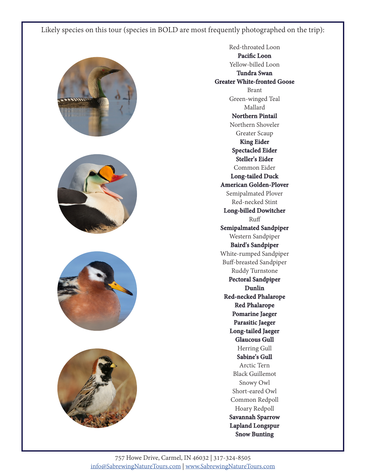









Red-throated Loon **Pacific Loon** Yellow-billed Loon **Tundra Swan Greater White-fronted Goose** Brant Green-winged Teal Mallard **Northern Pintail** Northern Shoveler Greater Scaup **King Eider Spectacled Eider Steller's Eider** Common Eider **Long-tailed Duck American Golden-Plover** Semipalmated Plover Red-necked Stint **Long-billed Dowitcher** Ruff **Semipalmated Sandpiper** Western Sandpiper **Baird's Sandpiper** White-rumped Sandpiper Buff-breasted Sandpiper Ruddy Turnstone **Pectoral Sandpiper Dunlin Red-necked Phalarope Red Phalarope Pomarine Jaeger Parasitic Jaeger Long-tailed Jaeger Glaucous Gull** Herring Gull **Sabine's Gull** Arctic Tern Black Guillemot Snowy Owl Short-eared Owl Common Redpoll Hoary Redpoll **Savannah Sparrow Lapland Longspur Snow Bunting**